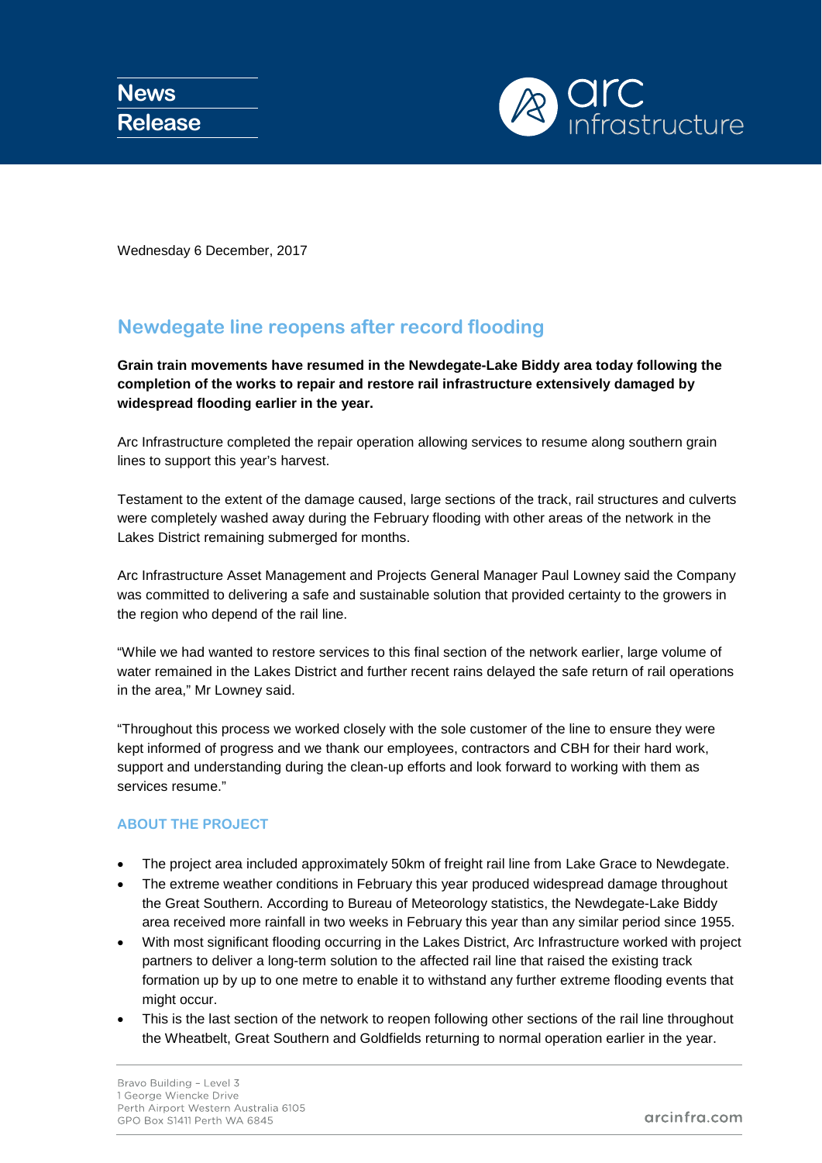

Wednesday 6 December, 2017

## **Newdegate line reopens after record flooding**

**Grain train movements have resumed in the Newdegate-Lake Biddy area today following the completion of the works to repair and restore rail infrastructure extensively damaged by widespread flooding earlier in the year.**

Arc Infrastructure completed the repair operation allowing services to resume along southern grain lines to support this year's harvest.

Testament to the extent of the damage caused, large sections of the track, rail structures and culverts were completely washed away during the February flooding with other areas of the network in the Lakes District remaining submerged for months.

Arc Infrastructure Asset Management and Projects General Manager Paul Lowney said the Company was committed to delivering a safe and sustainable solution that provided certainty to the growers in the region who depend of the rail line.

"While we had wanted to restore services to this final section of the network earlier, large volume of water remained in the Lakes District and further recent rains delayed the safe return of rail operations in the area," Mr Lowney said.

"Throughout this process we worked closely with the sole customer of the line to ensure they were kept informed of progress and we thank our employees, contractors and CBH for their hard work, support and understanding during the clean-up efforts and look forward to working with them as services resume."

## **ABOUT THE PROJECT**

- The project area included approximately 50km of freight rail line from Lake Grace to Newdegate.
- The extreme weather conditions in February this year produced widespread damage throughout the Great Southern. According to Bureau of Meteorology statistics, the Newdegate-Lake Biddy area received more rainfall in two weeks in February this year than any similar period since 1955.
- With most significant flooding occurring in the Lakes District, Arc Infrastructure worked with project partners to deliver a long-term solution to the affected rail line that raised the existing track formation up by up to one metre to enable it to withstand any further extreme flooding events that might occur.
- This is the last section of the network to reopen following other sections of the rail line throughout the Wheatbelt, Great Southern and Goldfields returning to normal operation earlier in the year.